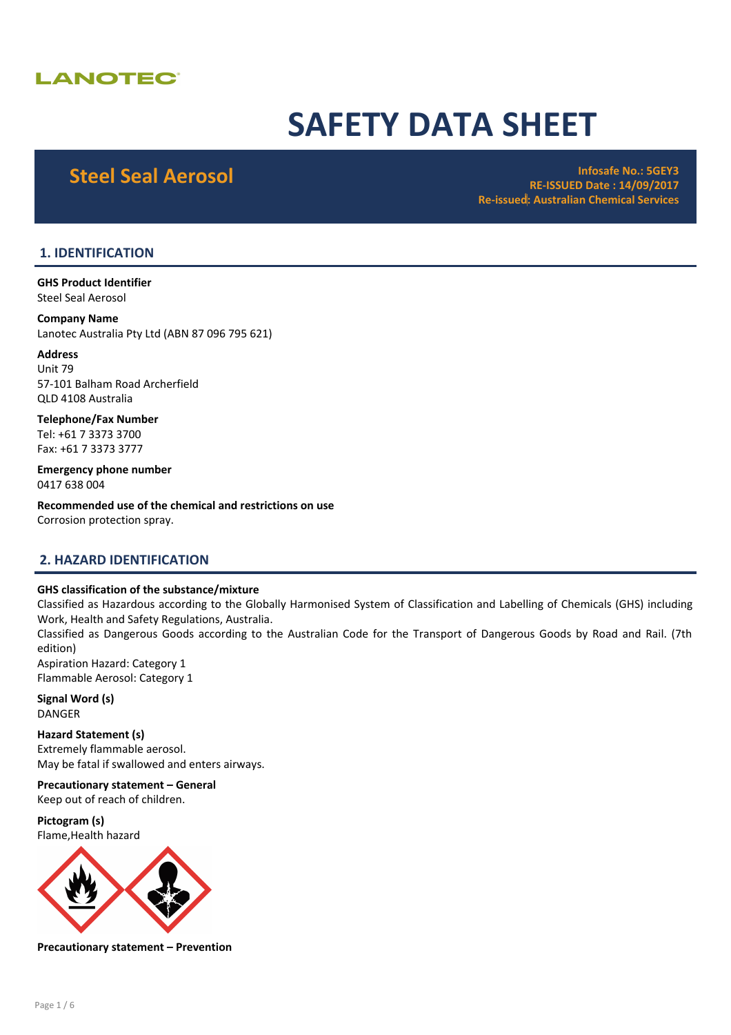# **LANOTEC®**

# SAFETY DATA SHEET

Steel Seal Aerosol **Infosafe No.: 5GEY3** RE-ISSUED Date : 14/09/2017 Re-issued: Australian Chemical Services

# 1. IDENTIFICATION

GHS Product Identifier Steel Seal Aerosol

Company Name Lanotec Australia Pty Ltd (ABN 87 096 795 621)

Address Unit 79 57-101 Balham Road Archerfield QLD 4108 Australia

Telephone/Fax Number Tel: +61 7 3373 3700 Fax: +61 7 3373 3777

Emergency phone number 0417 638 004

Recommended use of the chemical and restrictions on use Corrosion protection spray.

# 2. HAZARD IDENTIFICATION

#### GHS classification of the substance/mixture

Classified as Hazardous according to the Globally Harmonised System of Classification and Labelling of Chemicals (GHS) including Work, Health and Safety Regulations, Australia. Classified as Dangerous Goods according to the Australian Code for the Transport of Dangerous Goods by Road and Rail. (7th edition) Aspiration Hazard: Category 1 Flammable Aerosol: Category 1

Signal Word (s) DANGER

Hazard Statement (s) Extremely flammable aerosol. May be fatal if swallowed and enters airways.

Precautionary statement – General Keep out of reach of children.

Pictogram (s) Flame,Health hazard



Precautionary statement – Prevention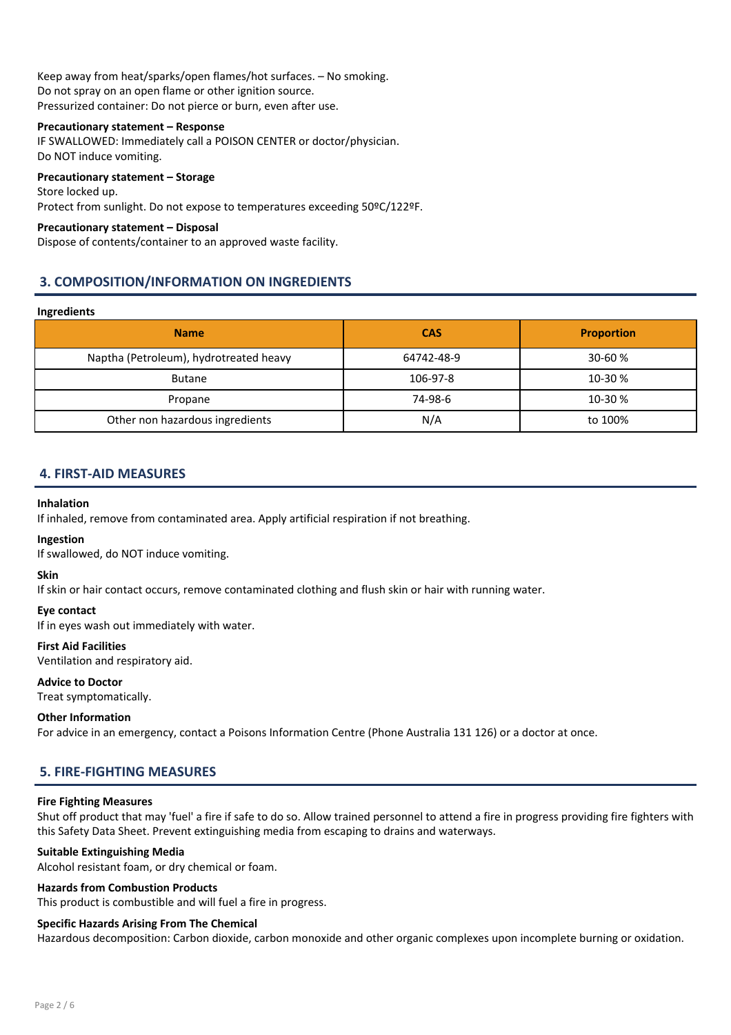Keep away from heat/sparks/open flames/hot surfaces. – No smoking. Do not spray on an open flame or other ignition source. Pressurized container: Do not pierce or burn, even after use.

#### Precautionary statement – Response

IF SWALLOWED: Immediately call a POISON CENTER or doctor/physician. Do NOT induce vomiting.

#### Precautionary statement – Storage

Store locked up. Protect from sunlight. Do not expose to temperatures exceeding 50ºC/122ºF.

#### Precautionary statement – Disposal

Dispose of contents/container to an approved waste facility.

# 3. COMPOSITION/INFORMATION ON INGREDIENTS

#### Ingredients

| <b>Name</b>                            | <b>CAS</b> | <b>Proportion</b> |
|----------------------------------------|------------|-------------------|
| Naptha (Petroleum), hydrotreated heavy | 64742-48-9 | $30 - 60%$        |
| <b>Butane</b>                          | 106-97-8   | 10-30 %           |
| Propane                                | 74-98-6    | 10-30 %           |
| Other non hazardous ingredients        | N/A        | to 100%           |

# 4. FIRST-AID MEASURES

#### Inhalation

If inhaled, remove from contaminated area. Apply artificial respiration if not breathing.

#### Ingestion

If swallowed, do NOT induce vomiting.

#### Skin

If skin or hair contact occurs, remove contaminated clothing and flush skin or hair with running water.

#### Eye contact

If in eyes wash out immediately with water.

#### First Aid Facilities

Ventilation and respiratory aid.

#### Advice to Doctor

Treat symptomatically.

#### Other Information

For advice in an emergency, contact a Poisons Information Centre (Phone Australia 131 126) or a doctor at once.

# 5. FIRE-FIGHTING MEASURES

#### Fire Fighting Measures

Shut off product that may 'fuel' a fire if safe to do so. Allow trained personnel to attend a fire in progress providing fire fighters with this Safety Data Sheet. Prevent extinguishing media from escaping to drains and waterways.

### Suitable Extinguishing Media

Alcohol resistant foam, or dry chemical or foam.

#### Hazards from Combustion Products

This product is combustible and will fuel a fire in progress.

#### Specific Hazards Arising From The Chemical

Hazardous decomposition: Carbon dioxide, carbon monoxide and other organic complexes upon incomplete burning or oxidation.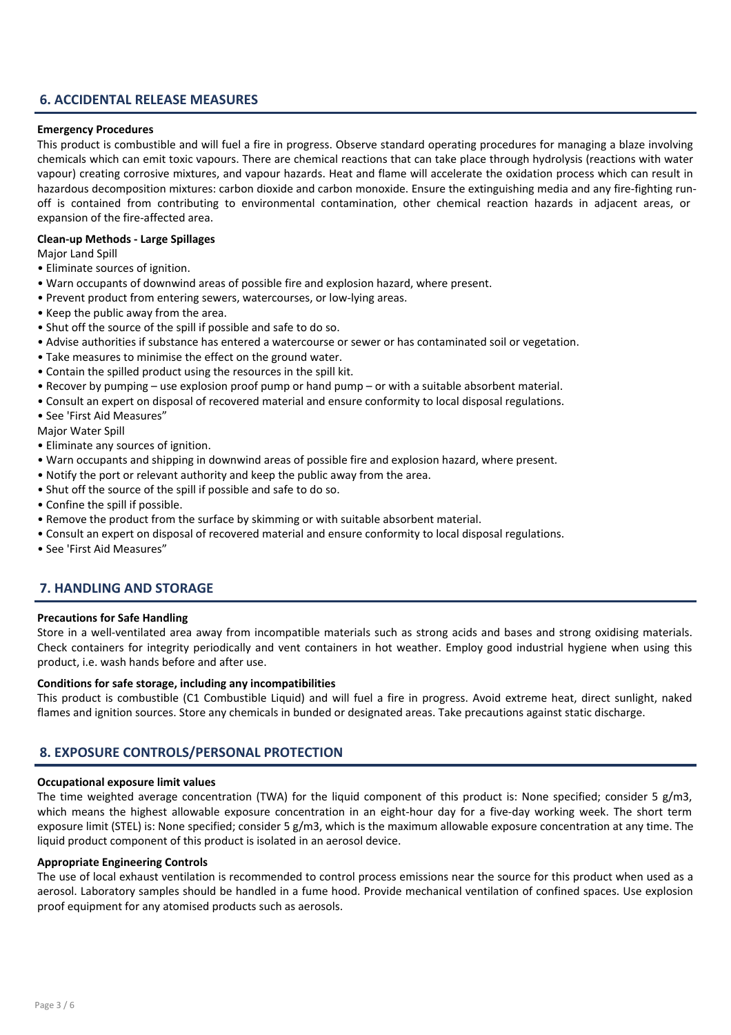# 6. ACCIDENTAL RELEASE MEASURES

#### Emergency Procedures

This product is combustible and will fuel a fire in progress. Observe standard operating procedures for managing a blaze involving chemicals which can emit toxic vapours. There are chemical reactions that can take place through hydrolysis (reactions with water vapour) creating corrosive mixtures, and vapour hazards. Heat and flame will accelerate the oxidation process which can result in hazardous decomposition mixtures: carbon dioxide and carbon monoxide. Ensure the extinguishing media and any fire-fighting runoff is contained from contributing to environmental contamination, other chemical reaction hazards in adjacent areas, or expansion of the fire-affected area.

#### Clean-up Methods - Large Spillages

Major Land Spill

- Eliminate sources of ignition.
- Warn occupants of downwind areas of possible fire and explosion hazard, where present.
- Prevent product from entering sewers, watercourses, or low-lying areas.
- Keep the public away from the area.
- Shut off the source of the spill if possible and safe to do so.
- Advise authorities if substance has entered a watercourse or sewer or has contaminated soil or vegetation.
- Take measures to minimise the effect on the ground water.
- Contain the spilled product using the resources in the spill kit.
- Recover by pumping use explosion proof pump or hand pump or with a suitable absorbent material.
- Consult an expert on disposal of recovered material and ensure conformity to local disposal regulations.
- See 'First Aid Measures"

Major Water Spill

- Eliminate any sources of ignition.
- Warn occupants and shipping in downwind areas of possible fire and explosion hazard, where present.
- Notify the port or relevant authority and keep the public away from the area.
- Shut off the source of the spill if possible and safe to do so.
- Confine the spill if possible.
- Remove the product from the surface by skimming or with suitable absorbent material.
- Consult an expert on disposal of recovered material and ensure conformity to local disposal regulations.
- See 'First Aid Measures"

# 7. HANDLING AND STORAGE

#### Precautions for Safe Handling

Store in a well-ventilated area away from incompatible materials such as strong acids and bases and strong oxidising materials. Check containers for integrity periodically and vent containers in hot weather. Employ good industrial hygiene when using this product, i.e. wash hands before and after use.

#### Conditions for safe storage, including any incompatibilities

This product is combustible (C1 Combustible Liquid) and will fuel a fire in progress. Avoid extreme heat, direct sunlight, naked flames and ignition sources. Store any chemicals in bunded or designated areas. Take precautions against static discharge.

# 8. EXPOSURE CONTROLS/PERSONAL PROTECTION

#### Occupational exposure limit values

The time weighted average concentration (TWA) for the liquid component of this product is: None specified; consider 5  $g/m3$ , which means the highest allowable exposure concentration in an eight-hour day for a five-day working week. The short term exposure limit (STEL) is: None specified; consider 5 g/m3, which is the maximum allowable exposure concentration at any time. The liquid product component of this product is isolated in an aerosol device.

#### Appropriate Engineering Controls

The use of local exhaust ventilation is recommended to control process emissions near the source for this product when used as a aerosol. Laboratory samples should be handled in a fume hood. Provide mechanical ventilation of confined spaces. Use explosion proof equipment for any atomised products such as aerosols.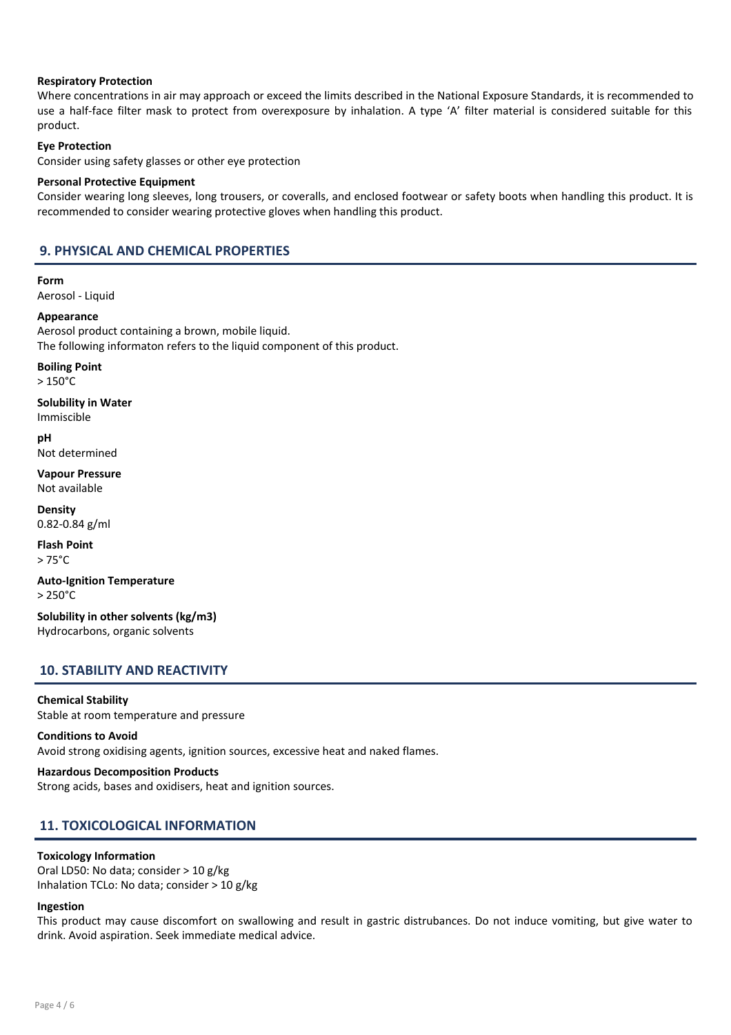#### Respiratory Protection

Where concentrations in air may approach or exceed the limits described in the National Exposure Standards, it is recommended to use a half-face filter mask to protect from overexposure by inhalation. A type 'A' filter material is considered suitable for this product.

#### Eye Protection

Consider using safety glasses or other eye protection

#### Personal Protective Equipment

Consider wearing long sleeves, long trousers, or coveralls, and enclosed footwear or safety boots when handling this product. It is recommended to consider wearing protective gloves when handling this product.

# 9. PHYSICAL AND CHEMICAL PROPERTIES

Form Aerosol - Liquid

Appearance Aerosol product containing a brown, mobile liquid. The following informaton refers to the liquid component of this product.

Boiling Point

> 150°C

Solubility in Water Immiscible

pH Not determined

Vapour Pressure Not available

Density 0.82-0.84 g/ml

Flash Point > 75°C

Auto-Ignition Temperature > 250°C

Solubility in other solvents (kg/m3) Hydrocarbons, organic solvents

# 10. STABILITY AND REACTIVITY

#### Chemical Stability

Stable at room temperature and pressure

#### Conditions to Avoid

Avoid strong oxidising agents, ignition sources, excessive heat and naked flames.

Hazardous Decomposition Products Strong acids, bases and oxidisers, heat and ignition sources.

# 11. TOXICOLOGICAL INFORMATION

#### Toxicology Information

Oral LD50: No data; consider > 10 g/kg Inhalation TCLo: No data; consider > 10 g/kg

#### Ingestion

This product may cause discomfort on swallowing and result in gastric distrubances. Do not induce vomiting, but give water to drink. Avoid aspiration. Seek immediate medical advice.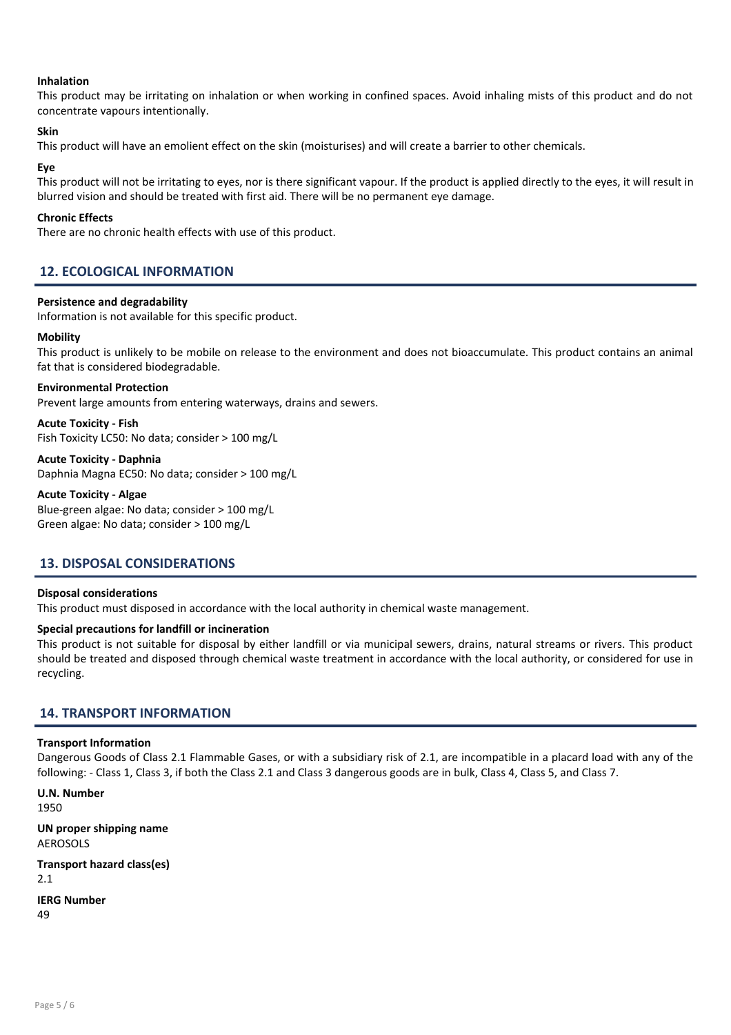#### Inhalation

This product may be irritating on inhalation or when working in confined spaces. Avoid inhaling mists of this product and do not concentrate vapours intentionally.

#### Skin

This product will have an emolient effect on the skin (moisturises) and will create a barrier to other chemicals.

#### Eye

This product will not be irritating to eyes, nor is there significant vapour. If the product is applied directly to the eyes, it will result in blurred vision and should be treated with first aid. There will be no permanent eye damage.

#### Chronic Effects

There are no chronic health effects with use of this product.

# 12. ECOLOGICAL INFORMATION

#### Persistence and degradability

Information is not available for this specific product.

#### **Mobility**

This product is unlikely to be mobile on release to the environment and does not bioaccumulate. This product contains an animal fat that is considered biodegradable.

# Environmental Protection

Prevent large amounts from entering waterways, drains and sewers.

Acute Toxicity - Fish Fish Toxicity LC50: No data; consider > 100 mg/L

Acute Toxicity - Daphnia Daphnia Magna EC50: No data; consider > 100 mg/L

#### Acute Toxicity - Algae

Blue-green algae: No data; consider > 100 mg/L Green algae: No data; consider > 100 mg/L

# 13. DISPOSAL CONSIDERATIONS

#### Disposal considerations

This product must disposed in accordance with the local authority in chemical waste management.

#### Special precautions for landfill or incineration

This product is not suitable for disposal by either landfill or via municipal sewers, drains, natural streams or rivers. This product should be treated and disposed through chemical waste treatment in accordance with the local authority, or considered for use in recycling.

# 14. TRANSPORT INFORMATION

#### Transport Information

Dangerous Goods of Class 2.1 Flammable Gases, or with a subsidiary risk of 2.1, are incompatible in a placard load with any of the following: - Class 1, Class 3, if both the Class 2.1 and Class 3 dangerous goods are in bulk, Class 4, Class 5, and Class 7.

U.N. Number 1950

UN proper shipping name AEROSOLS

Transport hazard class(es) 2.1 IERG Number

49